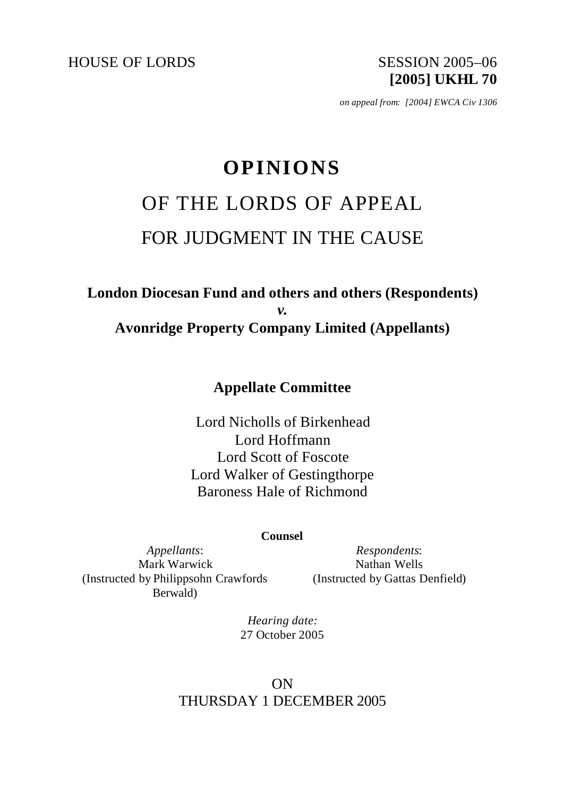HOUSE OF LORDS SESSION 2005-06

**[2005] UKHL 70**

*on appeal from: [2004] EWCA Civ 1306*

# **OPINIONS** OF THE LORDS OF APPEAL FOR JUDGMENT IN THE CAUSE

## **London Diocesan Fund and others and others (Respondents)** *v.* **Avonridge Property Company Limited (Appellants)**

## **Appellate Committee**

Lord Nicholls of Birkenhead Lord Hoffmann Lord Scott of Foscote Lord Walker of Gestingthorpe Baroness Hale of Richmond

#### **Counsel**

*Appellants*: Mark Warwick (Instructed by Philippsohn Crawfords Berwald)

*Respondents*: Nathan Wells (Instructed by Gattas Denfield)

*Hearing date:* 27 October 2005

## ON THURSDAY 1 DECEMBER 2005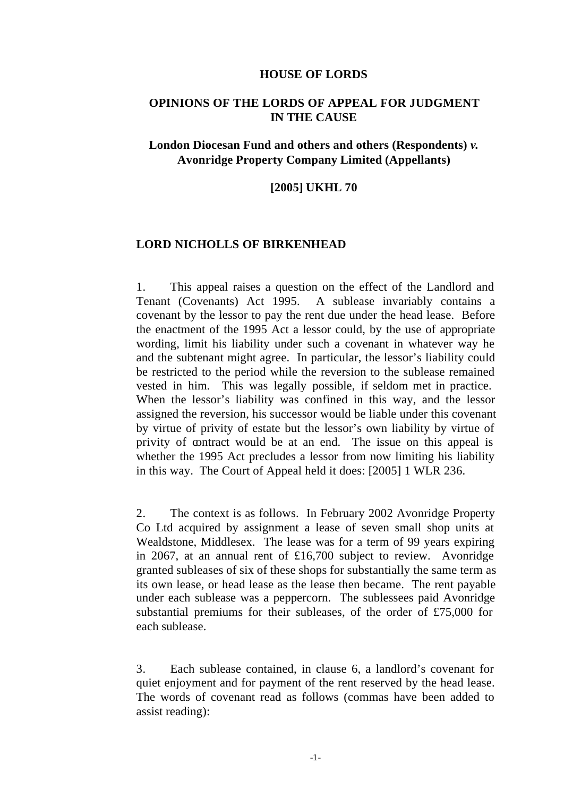#### **HOUSE OF LORDS**

#### **OPINIONS OF THE LORDS OF APPEAL FOR JUDGMENT IN THE CAUSE**

#### **London Diocesan Fund and others and others (Respondents)** *v.* **Avonridge Property Company Limited (Appellants)**

#### **[2005] UKHL 70**

#### **LORD NICHOLLS OF BIRKENHEAD**

1. This appeal raises a question on the effect of the Landlord and Tenant (Covenants) Act 1995. A sublease invariably contains a covenant by the lessor to pay the rent due under the head lease. Before the enactment of the 1995 Act a lessor could, by the use of appropriate wording, limit his liability under such a covenant in whatever way he and the subtenant might agree. In particular, the lessor's liability could be restricted to the period while the reversion to the sublease remained vested in him. This was legally possible, if seldom met in practice. When the lessor's liability was confined in this way, and the lessor assigned the reversion, his successor would be liable under this covenant by virtue of privity of estate but the lessor's own liability by virtue of privity of contract would be at an end. The issue on this appeal is whether the 1995 Act precludes a lessor from now limiting his liability in this way. The Court of Appeal held it does: [2005] 1 WLR 236.

2. The context is as follows. In February 2002 Avonridge Property Co Ltd acquired by assignment a lease of seven small shop units at Wealdstone, Middlesex. The lease was for a term of 99 years expiring in 2067, at an annual rent of £16,700 subject to review. Avonridge granted subleases of six of these shops for substantially the same term as its own lease, or head lease as the lease then became. The rent payable under each sublease was a peppercorn. The sublessees paid Avonridge substantial premiums for their subleases, of the order of £75,000 for each sublease.

3. Each sublease contained, in clause 6, a landlord's covenant for quiet enjoyment and for payment of the rent reserved by the head lease. The words of covenant read as follows (commas have been added to assist reading):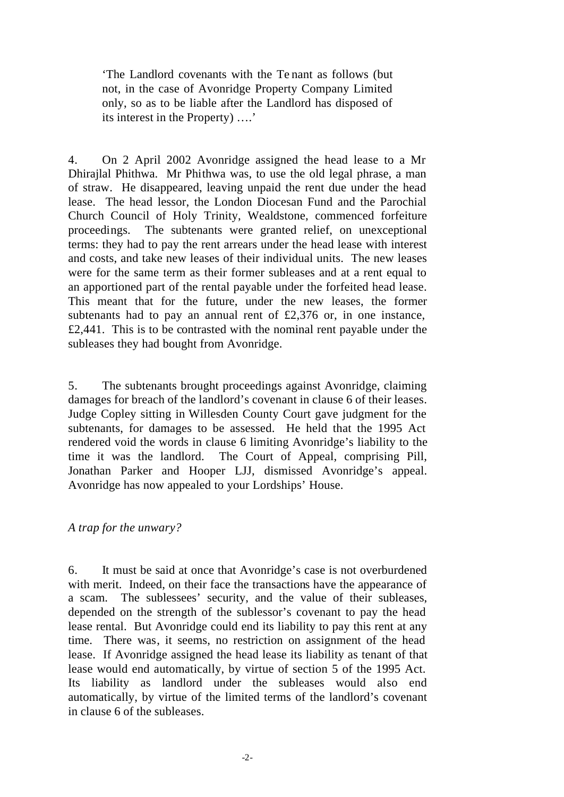'The Landlord covenants with the Te nant as follows (but not, in the case of Avonridge Property Company Limited only, so as to be liable after the Landlord has disposed of its interest in the Property) ….'

4. On 2 April 2002 Avonridge assigned the head lease to a Mr Dhirajlal Phithwa. Mr Phithwa was, to use the old legal phrase, a man of straw. He disappeared, leaving unpaid the rent due under the head lease. The head lessor, the London Diocesan Fund and the Parochial Church Council of Holy Trinity, Wealdstone, commenced forfeiture proceedings. The subtenants were granted relief, on unexceptional terms: they had to pay the rent arrears under the head lease with interest and costs, and take new leases of their individual units. The new leases were for the same term as their former subleases and at a rent equal to an apportioned part of the rental payable under the forfeited head lease. This meant that for the future, under the new leases, the former subtenants had to pay an annual rent of  $£2,376$  or, in one instance,  $£2,441$ . This is to be contrasted with the nominal rent payable under the subleases they had bought from Avonridge.

5. The subtenants brought proceedings against Avonridge, claiming damages for breach of the landlord's covenant in clause 6 of their leases. Judge Copley sitting in Willesden County Court gave judgment for the subtenants, for damages to be assessed. He held that the 1995 Act rendered void the words in clause 6 limiting Avonridge's liability to the time it was the landlord. The Court of Appeal, comprising Pill, Jonathan Parker and Hooper LJJ, dismissed Avonridge's appeal. Avonridge has now appealed to your Lordships' House.

#### *A trap for the unwary?*

6. It must be said at once that Avonridge's case is not overburdened with merit. Indeed, on their face the transactions have the appearance of a scam. The sublessees' security, and the value of their subleases, depended on the strength of the sublessor's covenant to pay the head lease rental. But Avonridge could end its liability to pay this rent at any time. There was, it seems, no restriction on assignment of the head lease. If Avonridge assigned the head lease its liability as tenant of that lease would end automatically, by virtue of section 5 of the 1995 Act. Its liability as landlord under the subleases would also end automatically, by virtue of the limited terms of the landlord's covenant in clause 6 of the subleases.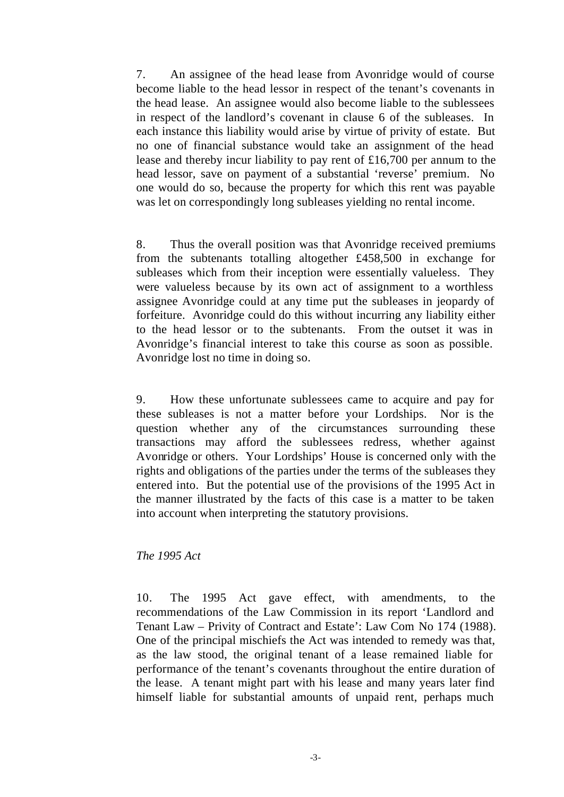7. An assignee of the head lease from Avonridge would of course become liable to the head lessor in respect of the tenant's covenants in the head lease. An assignee would also become liable to the sublessees in respect of the landlord's covenant in clause 6 of the subleases. In each instance this liability would arise by virtue of privity of estate. But no one of financial substance would take an assignment of the head lease and thereby incur liability to pay rent of £16,700 per annum to the head lessor, save on payment of a substantial 'reverse' premium. No one would do so, because the property for which this rent was payable was let on correspondingly long subleases yielding no rental income.

8. Thus the overall position was that Avonridge received premiums from the subtenants totalling altogether £458,500 in exchange for subleases which from their inception were essentially valueless. They were valueless because by its own act of assignment to a worthless assignee Avonridge could at any time put the subleases in jeopardy of forfeiture. Avonridge could do this without incurring any liability either to the head lessor or to the subtenants. From the outset it was in Avonridge's financial interest to take this course as soon as possible. Avonridge lost no time in doing so.

9. How these unfortunate sublessees came to acquire and pay for these subleases is not a matter before your Lordships. Nor is the question whether any of the circumstances surrounding these transactions may afford the sublessees redress, whether against Avonridge or others. Your Lordships' House is concerned only with the rights and obligations of the parties under the terms of the subleases they entered into. But the potential use of the provisions of the 1995 Act in the manner illustrated by the facts of this case is a matter to be taken into account when interpreting the statutory provisions.

#### *The 1995 Act*

10. The 1995 Act gave effect, with amendments, to the recommendations of the Law Commission in its report 'Landlord and Tenant Law – Privity of Contract and Estate': Law Com No 174 (1988). One of the principal mischiefs the Act was intended to remedy was that, as the law stood, the original tenant of a lease remained liable for performance of the tenant's covenants throughout the entire duration of the lease. A tenant might part with his lease and many years later find himself liable for substantial amounts of unpaid rent, perhaps much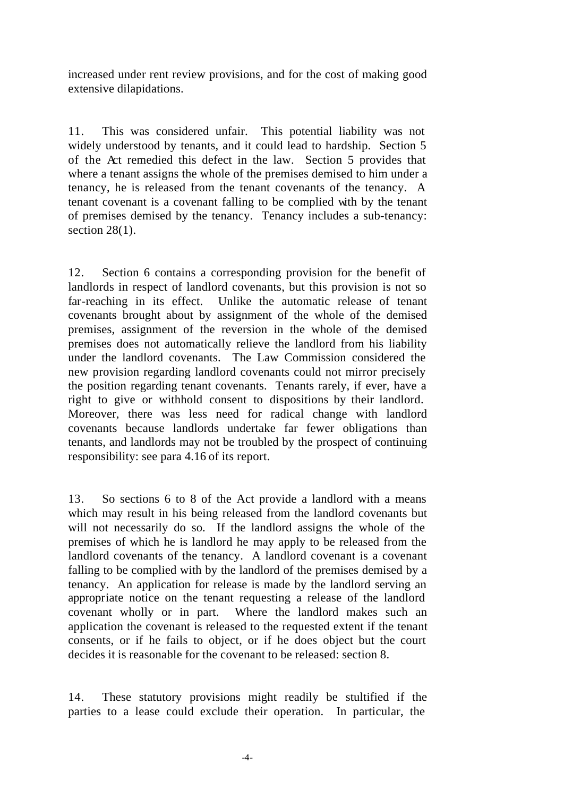increased under rent review provisions, and for the cost of making good extensive dilapidations.

11. This was considered unfair. This potential liability was not widely understood by tenants, and it could lead to hardship. Section 5 of the Act remedied this defect in the law. Section 5 provides that where a tenant assigns the whole of the premises demised to him under a tenancy, he is released from the tenant covenants of the tenancy. A tenant covenant is a covenant falling to be complied with by the tenant of premises demised by the tenancy. Tenancy includes a sub-tenancy: section  $28(1)$ .

12. Section 6 contains a corresponding provision for the benefit of landlords in respect of landlord covenants, but this provision is not so far-reaching in its effect. Unlike the automatic release of tenant covenants brought about by assignment of the whole of the demised premises, assignment of the reversion in the whole of the demised premises does not automatically relieve the landlord from his liability under the landlord covenants. The Law Commission considered the new provision regarding landlord covenants could not mirror precisely the position regarding tenant covenants. Tenants rarely, if ever, have a right to give or withhold consent to dispositions by their landlord. Moreover, there was less need for radical change with landlord covenants because landlords undertake far fewer obligations than tenants, and landlords may not be troubled by the prospect of continuing responsibility: see para 4.16 of its report.

13. So sections 6 to 8 of the Act provide a landlord with a means which may result in his being released from the landlord covenants but will not necessarily do so. If the landlord assigns the whole of the premises of which he is landlord he may apply to be released from the landlord covenants of the tenancy. A landlord covenant is a covenant falling to be complied with by the landlord of the premises demised by a tenancy. An application for release is made by the landlord serving an appropriate notice on the tenant requesting a release of the landlord covenant wholly or in part. Where the landlord makes such an application the covenant is released to the requested extent if the tenant consents, or if he fails to object, or if he does object but the court decides it is reasonable for the covenant to be released: section 8.

14. These statutory provisions might readily be stultified if the parties to a lease could exclude their operation. In particular, the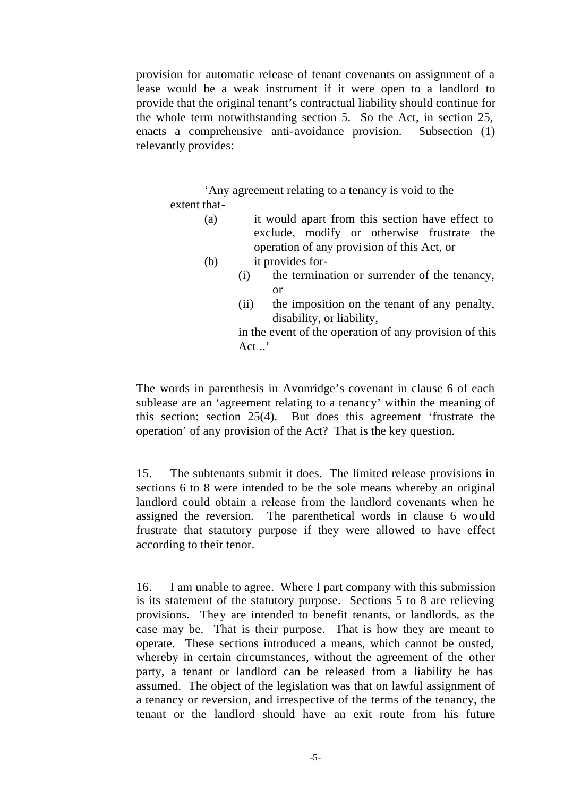provision for automatic release of tenant covenants on assignment of a lease would be a weak instrument if it were open to a landlord to provide that the original tenant's contractual liability should continue for the whole term notwithstanding section 5. So the Act, in section 25, enacts a comprehensive anti-avoidance provision. Subsection (1) relevantly provides:

'Any agreement relating to a tenancy is void to the extent that-

- (a) it would apart from this section have effect to exclude, modify or otherwise frustrate the operation of any provision of this Act, or
- (b) it provides for-
	- (i) the termination or surrender of the tenancy, or
		- (ii) the imposition on the tenant of any penalty, disability, or liability,

in the event of the operation of any provision of this Act ..'

The words in parenthesis in Avonridge's covenant in clause 6 of each sublease are an 'agreement relating to a tenancy' within the meaning of this section: section 25(4). But does this agreement 'frustrate the operation' of any provision of the Act? That is the key question.

15. The subtenants submit it does. The limited release provisions in sections 6 to 8 were intended to be the sole means whereby an original landlord could obtain a release from the landlord covenants when he assigned the reversion. The parenthetical words in clause 6 would frustrate that statutory purpose if they were allowed to have effect according to their tenor.

16. I am unable to agree. Where I part company with this submission is its statement of the statutory purpose. Sections 5 to 8 are relieving provisions. They are intended to benefit tenants, or landlords, as the case may be. That is their purpose. That is how they are meant to operate. These sections introduced a means, which cannot be ousted, whereby in certain circumstances, without the agreement of the other party, a tenant or landlord can be released from a liability he has assumed. The object of the legislation was that on lawful assignment of a tenancy or reversion, and irrespective of the terms of the tenancy, the tenant or the landlord should have an exit route from his future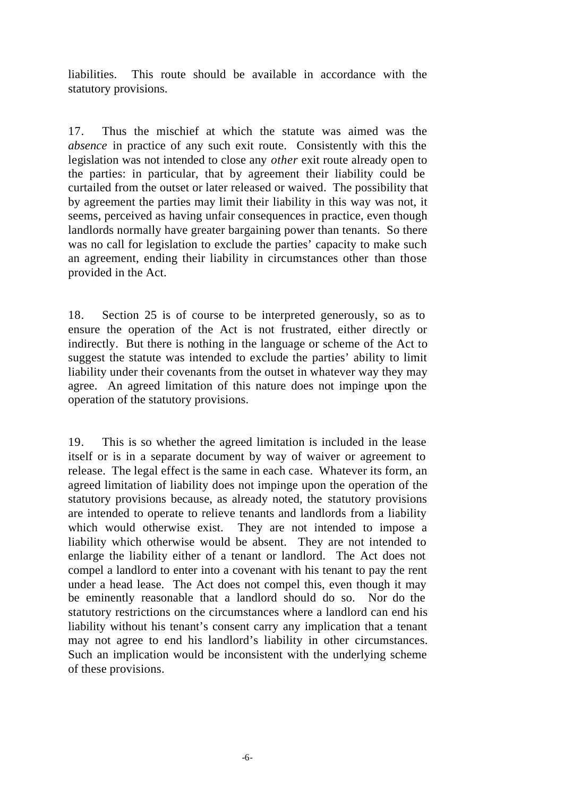liabilities. This route should be available in accordance with the statutory provisions.

17. Thus the mischief at which the statute was aimed was the *absence* in practice of any such exit route. Consistently with this the legislation was not intended to close any *other* exit route already open to the parties: in particular, that by agreement their liability could be curtailed from the outset or later released or waived. The possibility that by agreement the parties may limit their liability in this way was not, it seems, perceived as having unfair consequences in practice, even though landlords normally have greater bargaining power than tenants. So there was no call for legislation to exclude the parties' capacity to make such an agreement, ending their liability in circumstances other than those provided in the Act.

18. Section 25 is of course to be interpreted generously, so as to ensure the operation of the Act is not frustrated, either directly or indirectly. But there is nothing in the language or scheme of the Act to suggest the statute was intended to exclude the parties' ability to limit liability under their covenants from the outset in whatever way they may agree. An agreed limitation of this nature does not impinge upon the operation of the statutory provisions.

19. This is so whether the agreed limitation is included in the lease itself or is in a separate document by way of waiver or agreement to release. The legal effect is the same in each case. Whatever its form, an agreed limitation of liability does not impinge upon the operation of the statutory provisions because, as already noted, the statutory provisions are intended to operate to relieve tenants and landlords from a liability which would otherwise exist. They are not intended to impose a liability which otherwise would be absent. They are not intended to enlarge the liability either of a tenant or landlord. The Act does not compel a landlord to enter into a covenant with his tenant to pay the rent under a head lease. The Act does not compel this, even though it may be eminently reasonable that a landlord should do so. Nor do the statutory restrictions on the circumstances where a landlord can end his liability without his tenant's consent carry any implication that a tenant may not agree to end his landlord's liability in other circumstances. Such an implication would be inconsistent with the underlying scheme of these provisions.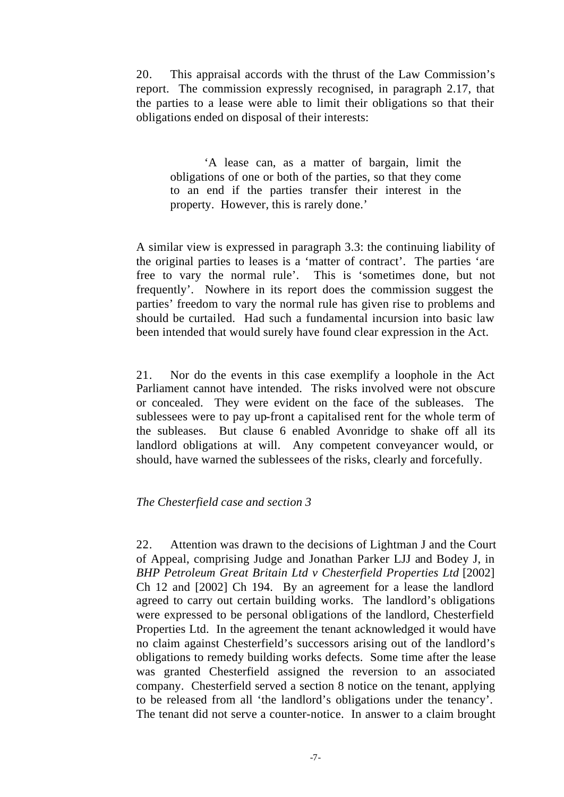20. This appraisal accords with the thrust of the Law Commission's report. The commission expressly recognised, in paragraph 2.17, that the parties to a lease were able to limit their obligations so that their obligations ended on disposal of their interests:

'A lease can, as a matter of bargain, limit the obligations of one or both of the parties, so that they come to an end if the parties transfer their interest in the property. However, this is rarely done.'

A similar view is expressed in paragraph 3.3: the continuing liability of the original parties to leases is a 'matter of contract'. The parties 'are free to vary the normal rule'. This is 'sometimes done, but not frequently'. Nowhere in its report does the commission suggest the parties' freedom to vary the normal rule has given rise to problems and should be curtailed. Had such a fundamental incursion into basic law been intended that would surely have found clear expression in the Act.

21. Nor do the events in this case exemplify a loophole in the Act Parliament cannot have intended. The risks involved were not obscure or concealed. They were evident on the face of the subleases. The sublessees were to pay up-front a capitalised rent for the whole term of the subleases. But clause 6 enabled Avonridge to shake off all its landlord obligations at will. Any competent conveyancer would, or should, have warned the sublessees of the risks, clearly and forcefully.

#### *The Chesterfield case and section 3*

22. Attention was drawn to the decisions of Lightman J and the Court of Appeal, comprising Judge and Jonathan Parker LJJ and Bodey J, in *BHP Petroleum Great Britain Ltd v Chesterfield Properties Ltd* [2002] Ch 12 and [2002] Ch 194. By an agreement for a lease the landlord agreed to carry out certain building works. The landlord's obligations were expressed to be personal obligations of the landlord, Chesterfield Properties Ltd. In the agreement the tenant acknowledged it would have no claim against Chesterfield's successors arising out of the landlord's obligations to remedy building works defects. Some time after the lease was granted Chesterfield assigned the reversion to an associated company. Chesterfield served a section 8 notice on the tenant, applying to be released from all 'the landlord's obligations under the tenancy'. The tenant did not serve a counter-notice. In answer to a claim brought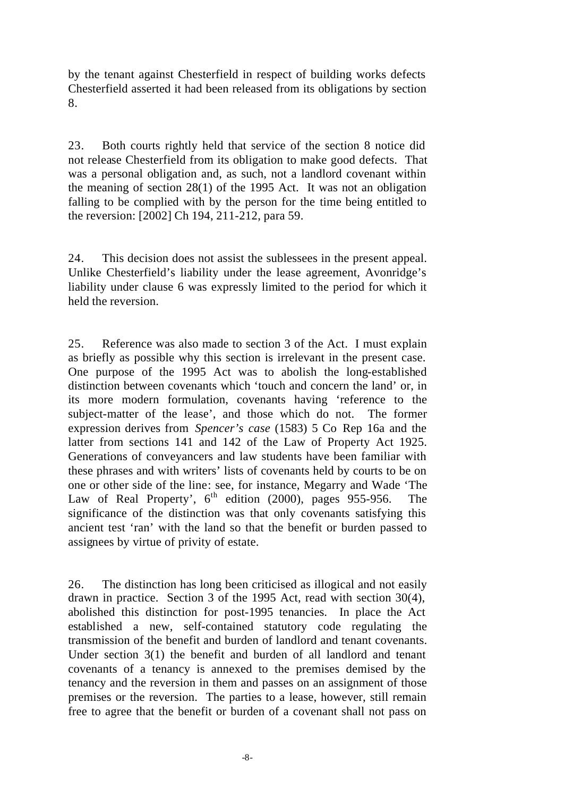by the tenant against Chesterfield in respect of building works defects Chesterfield asserted it had been released from its obligations by section 8.

23. Both courts rightly held that service of the section 8 notice did not release Chesterfield from its obligation to make good defects. That was a personal obligation and, as such, not a landlord covenant within the meaning of section 28(1) of the 1995 Act. It was not an obligation falling to be complied with by the person for the time being entitled to the reversion: [2002] Ch 194, 211-212, para 59.

24. This decision does not assist the sublessees in the present appeal. Unlike Chesterfield's liability under the lease agreement, Avonridge's liability under clause 6 was expressly limited to the period for which it held the reversion.

25. Reference was also made to section 3 of the Act. I must explain as briefly as possible why this section is irrelevant in the present case. One purpose of the 1995 Act was to abolish the long-established distinction between covenants which 'touch and concern the land' or, in its more modern formulation, covenants having 'reference to the subject-matter of the lease', and those which do not. The former expression derives from *Spencer's case* (1583) 5 Co Rep 16a and the latter from sections 141 and 142 of the Law of Property Act 1925. Generations of conveyancers and law students have been familiar with these phrases and with writers' lists of covenants held by courts to be on one or other side of the line: see, for instance, Megarry and Wade 'The Law of Real Property',  $6^{th}$  edition (2000), pages 955-956. The significance of the distinction was that only covenants satisfying this ancient test 'ran' with the land so that the benefit or burden passed to assignees by virtue of privity of estate.

26. The distinction has long been criticised as illogical and not easily drawn in practice. Section 3 of the 1995 Act, read with section 30(4), abolished this distinction for post-1995 tenancies. In place the Act established a new, self-contained statutory code regulating the transmission of the benefit and burden of landlord and tenant covenants. Under section 3(1) the benefit and burden of all landlord and tenant covenants of a tenancy is annexed to the premises demised by the tenancy and the reversion in them and passes on an assignment of those premises or the reversion. The parties to a lease, however, still remain free to agree that the benefit or burden of a covenant shall not pass on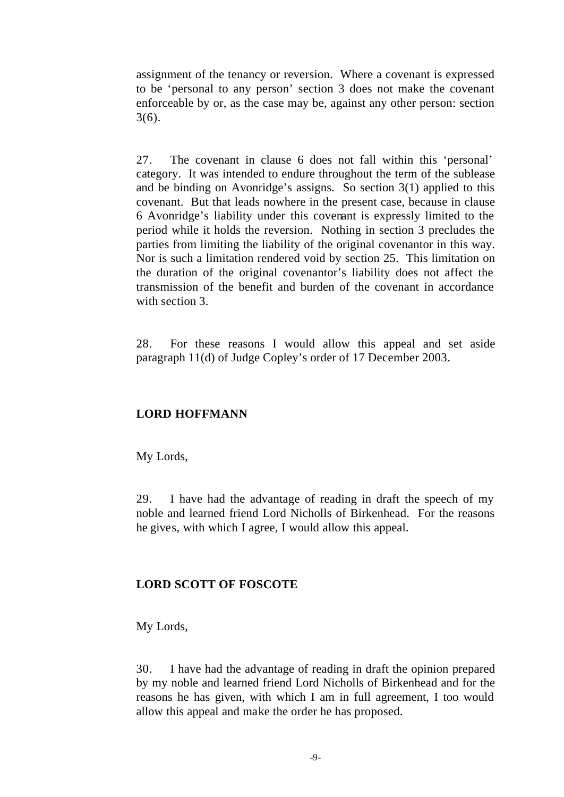assignment of the tenancy or reversion. Where a covenant is expressed to be 'personal to any person' section 3 does not make the covenant enforceable by or, as the case may be, against any other person: section 3(6).

27. The covenant in clause 6 does not fall within this 'personal' category. It was intended to endure throughout the term of the sublease and be binding on Avonridge's assigns. So section 3(1) applied to this covenant. But that leads nowhere in the present case, because in clause 6 Avonridge's liability under this covenant is expressly limited to the period while it holds the reversion. Nothing in section 3 precludes the parties from limiting the liability of the original covenantor in this way. Nor is such a limitation rendered void by section 25. This limitation on the duration of the original covenantor's liability does not affect the transmission of the benefit and burden of the covenant in accordance with section 3

28. For these reasons I would allow this appeal and set aside paragraph 11(d) of Judge Copley's order of 17 December 2003.

#### **LORD HOFFMANN**

My Lords,

29. I have had the advantage of reading in draft the speech of my noble and learned friend Lord Nicholls of Birkenhead. For the reasons he gives, with which I agree, I would allow this appeal.

#### **LORD SCOTT OF FOSCOTE**

My Lords,

30. I have had the advantage of reading in draft the opinion prepared by my noble and learned friend Lord Nicholls of Birkenhead and for the reasons he has given, with which I am in full agreement, I too would allow this appeal and make the order he has proposed.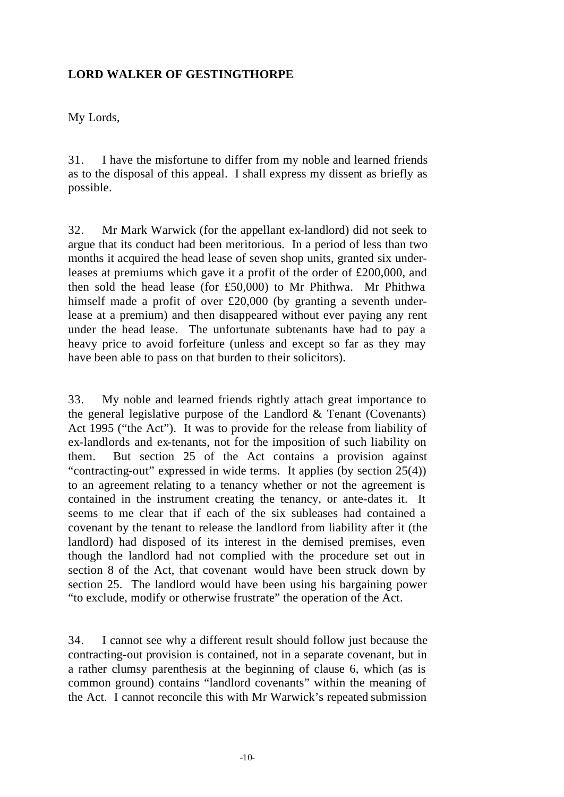### **LORD WALKER OF GESTINGTHORPE**

My Lords,

31. I have the misfortune to differ from my noble and learned friends as to the disposal of this appeal. I shall express my dissent as briefly as possible.

32. Mr Mark Warwick (for the appellant ex-landlord) did not seek to argue that its conduct had been meritorious. In a period of less than two months it acquired the head lease of seven shop units, granted six underleases at premiums which gave it a profit of the order of £200,000, and then sold the head lease (for £50,000) to Mr Phithwa. Mr Phithwa himself made a profit of over £20,000 (by granting a seventh underlease at a premium) and then disappeared without ever paying any rent under the head lease. The unfortunate subtenants have had to pay a heavy price to avoid forfeiture (unless and except so far as they may have been able to pass on that burden to their solicitors).

33. My noble and learned friends rightly attach great importance to the general legislative purpose of the Landlord & Tenant (Covenants) Act 1995 ("the Act"). It was to provide for the release from liability of ex-landlords and ex-tenants, not for the imposition of such liability on them. But section 25 of the Act contains a provision against "contracting-out" expressed in wide terms. It applies (by section 25(4)) to an agreement relating to a tenancy whether or not the agreement is contained in the instrument creating the tenancy, or ante-dates it. It seems to me clear that if each of the six subleases had contained a covenant by the tenant to release the landlord from liability after it (the landlord) had disposed of its interest in the demised premises, even though the landlord had not complied with the procedure set out in section 8 of the Act, that covenant would have been struck down by section 25. The landlord would have been using his bargaining power "to exclude, modify or otherwise frustrate" the operation of the Act.

34. I cannot see why a different result should follow just because the contracting-out provision is contained, not in a separate covenant, but in a rather clumsy parenthesis at the beginning of clause 6, which (as is common ground) contains "landlord covenants" within the meaning of the Act. I cannot reconcile this with Mr Warwick's repeated submission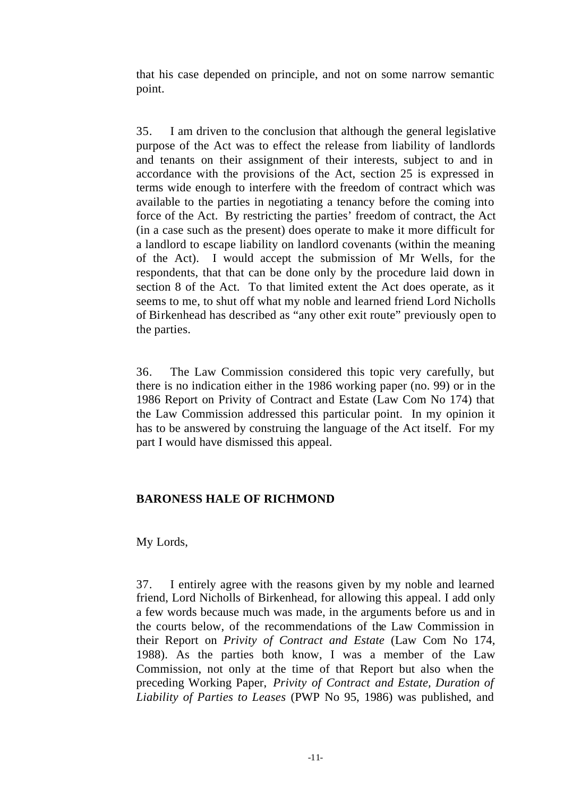that his case depended on principle, and not on some narrow semantic point.

35. I am driven to the conclusion that although the general legislative purpose of the Act was to effect the release from liability of landlords and tenants on their assignment of their interests, subject to and in accordance with the provisions of the Act, section 25 is expressed in terms wide enough to interfere with the freedom of contract which was available to the parties in negotiating a tenancy before the coming into force of the Act. By restricting the parties' freedom of contract, the Act (in a case such as the present) does operate to make it more difficult for a landlord to escape liability on landlord covenants (within the meaning of the Act). I would accept the submission of Mr Wells, for the respondents, that that can be done only by the procedure laid down in section 8 of the Act. To that limited extent the Act does operate, as it seems to me, to shut off what my noble and learned friend Lord Nicholls of Birkenhead has described as "any other exit route" previously open to the parties.

36. The Law Commission considered this topic very carefully, but there is no indication either in the 1986 working paper (no. 99) or in the 1986 Report on Privity of Contract and Estate (Law Com No 174) that the Law Commission addressed this particular point. In my opinion it has to be answered by construing the language of the Act itself. For my part I would have dismissed this appeal.

#### **BARONESS HALE OF RICHMOND**

#### My Lords,

37. I entirely agree with the reasons given by my noble and learned friend, Lord Nicholls of Birkenhead, for allowing this appeal. I add only a few words because much was made, in the arguments before us and in the courts below, of the recommendations of the Law Commission in their Report on *Privity of Contract and Estate* (Law Com No 174, 1988). As the parties both know, I was a member of the Law Commission, not only at the time of that Report but also when the preceding Working Paper, *Privity of Contract and Estate, Duration of Liability of Parties to Leases* (PWP No 95, 1986) was published, and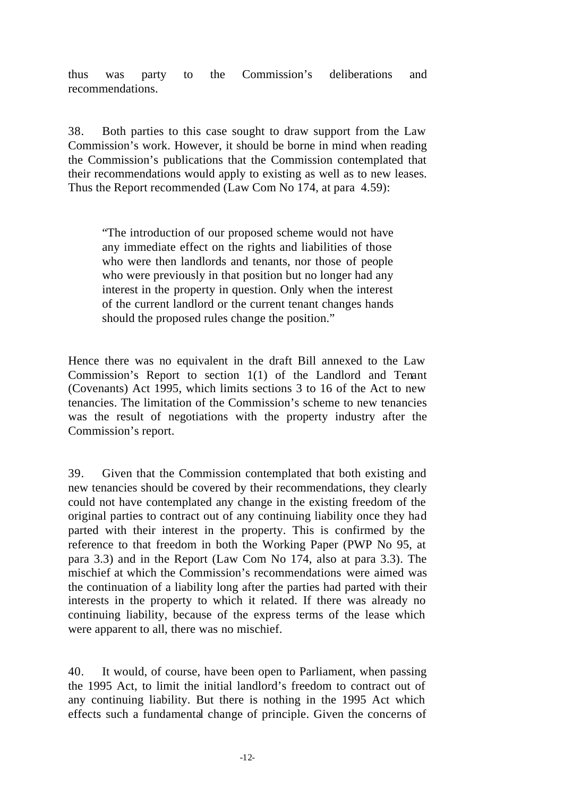thus was party to the Commission's deliberations and recommendations.

38. Both parties to this case sought to draw support from the Law Commission's work. However, it should be borne in mind when reading the Commission's publications that the Commission contemplated that their recommendations would apply to existing as well as to new leases. Thus the Report recommended (Law Com No 174, at para 4.59):

"The introduction of our proposed scheme would not have any immediate effect on the rights and liabilities of those who were then landlords and tenants, nor those of people who were previously in that position but no longer had any interest in the property in question. Only when the interest of the current landlord or the current tenant changes hands should the proposed rules change the position."

Hence there was no equivalent in the draft Bill annexed to the Law Commission's Report to section 1(1) of the Landlord and Tenant (Covenants) Act 1995, which limits sections 3 to 16 of the Act to new tenancies. The limitation of the Commission's scheme to new tenancies was the result of negotiations with the property industry after the Commission's report.

39. Given that the Commission contemplated that both existing and new tenancies should be covered by their recommendations, they clearly could not have contemplated any change in the existing freedom of the original parties to contract out of any continuing liability once they had parted with their interest in the property. This is confirmed by the reference to that freedom in both the Working Paper (PWP No 95, at para 3.3) and in the Report (Law Com No 174, also at para 3.3). The mischief at which the Commission's recommendations were aimed was the continuation of a liability long after the parties had parted with their interests in the property to which it related. If there was already no continuing liability, because of the express terms of the lease which were apparent to all, there was no mischief.

40. It would, of course, have been open to Parliament, when passing the 1995 Act, to limit the initial landlord's freedom to contract out of any continuing liability. But there is nothing in the 1995 Act which effects such a fundamental change of principle. Given the concerns of